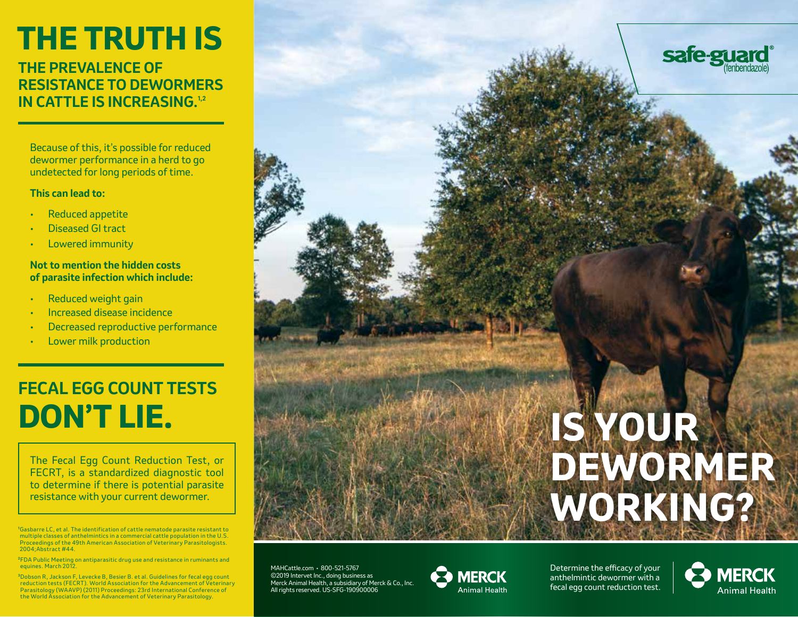# **THE TRUTH IS**

# **THE PREVALENCE OF RESISTANCE TO DEWORMERS IN CATTLE IS INCREASING.**<sup>1,2</sup>

Because of this, it's possible for reduced dewormer performance in a herd to go undetected for long periods of time.

#### **This can lead to:**

- Reduced appetite
- Diseased GI tract
- Lowered immunity

#### **Not to mention the hidden costs of parasite infection which include:**

- Reduced weight gain
- Increased disease incidence
- Decreased reproductive performance
- Lower milk production

# **FECAL EGG COUNT TESTS DON'T LIE.**

The Fecal Egg Count Reduction Test, or FECRT, is a standardized diagnostic tool to determine if there is potential parasite resistance with your current dewormer.

**1** Gasbarre LC, et al. The identification of cattle nematode parasite resistant to multiple classes of anthelmintics in a commercial cattle population in the U.S. Proceedings of the 49th American Association of Veterinary Parasitologists. 2004;Abstract #44.

**<sup>2</sup>**FDA Public Meeting on antiparasitic drug use and resistance in ruminants and equines. March 2012.

**<sup>3</sup>**Dobson R, Jackson F, Levecke B, Besier B. et al. Guidelines for fecal egg count reduction tests (FECRT). World Association for the Advancement of Veterinary Parasitology (WAAVP) (2011) Proceedings: 23rd International Conference of the World Association for the Advancement of Veterinary Parasitology.

MAHCattle.com • 800-521-5767 ©2019 Intervet Inc., doing business as Merck Animal Health, a subsidiary of Merck & Co., Inc. All rights reserved. US-SFG-190900006



Determine the efficacy of your anthelmintic dewormer with a fecal egg count reduction test.



# **IS YOUR DEWORMER WORKING?**